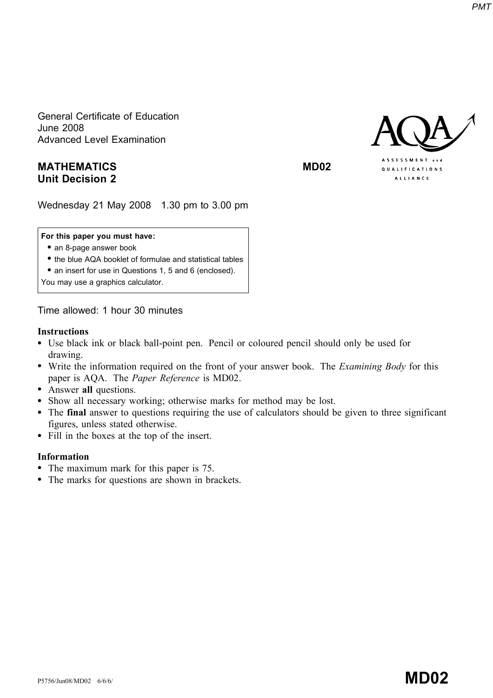General Certificate of Education June 2008 Advanced Level Examination

# MATHEMATICS MD02 Unit Decision 2

QUALIFICATIONS ALLIANCE

Wednesday 21 May 2008 1.30 pm to 3.00 pm

#### For this paper you must have:

- an 8-page answer book
- \* the blue AQA booklet of formulae and statistical tables
- an insert for use in Questions 1, 5 and 6 (enclosed).

You may use a graphics calculator.

Time allowed: 1 hour 30 minutes

#### Instructions

- \* Use black ink or black ball-point pen. Pencil or coloured pencil should only be used for drawing.
- Write the information required on the front of your answer book. The *Examining Body* for this paper is AQA. The Paper Reference is MD02.
- Answer all questions.
- \* Show all necessary working; otherwise marks for method may be lost.
- \* The final answer to questions requiring the use of calculators should be given to three significant figures, unless stated otherwise.
- Fill in the boxes at the top of the insert.

#### Information

- The maximum mark for this paper is 75.
- The marks for questions are shown in brackets.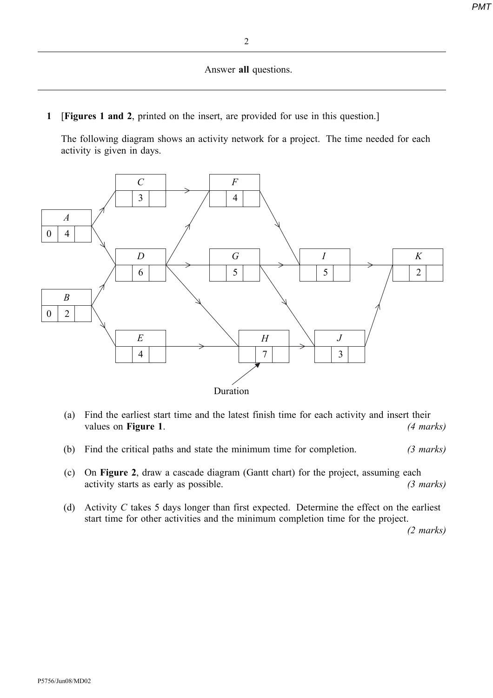#### Answer all questions.

1 [Figures 1 and 2, printed on the insert, are provided for use in this question.]

The following diagram shows an activity network for a project. The time needed for each activity is given in days.



- (a) Find the earliest start time and the latest finish time for each activity and insert their values on **Figure 1.** (4 marks)
- (b) Find the critical paths and state the minimum time for completion. (3 marks)
- (c) On Figure 2, draw a cascade diagram (Gantt chart) for the project, assuming each activity starts as early as possible. (3 marks)
- (d) Activity  $C$  takes 5 days longer than first expected. Determine the effect on the earliest start time for other activities and the minimum completion time for the project.

(2 marks)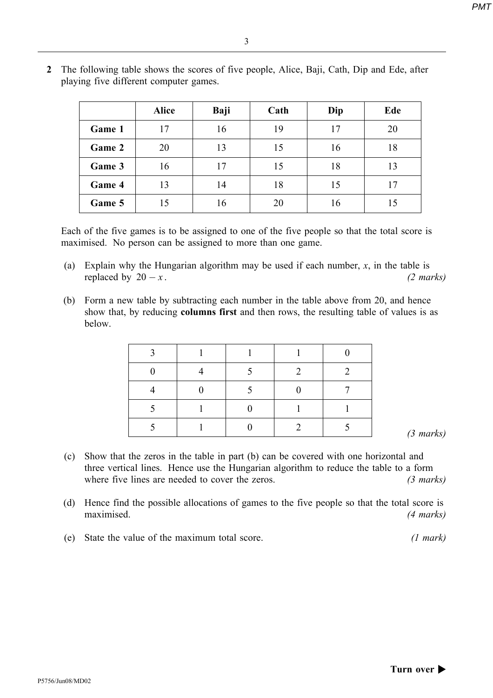|        | <b>Alice</b> | Baji | Cath | Dip | Ede |
|--------|--------------|------|------|-----|-----|
| Game 1 | 17           | 16   | 19   | 17  | 20  |
| Game 2 | 20           | 13   | 15   | 16  | 18  |
| Game 3 | 16           | 17   | 15   | 18  | 13  |
| Game 4 | 13           | 14   | 18   | 15  | 17  |
| Game 5 | 15           | 16   | 20   | 16  | 15  |

2 The following table shows the scores of five people, Alice, Baji, Cath, Dip and Ede, after playing five different computer games.

Each of the five games is to be assigned to one of the five people so that the total score is maximised. No person can be assigned to more than one game.

- (a) Explain why the Hungarian algorithm may be used if each number,  $x$ , in the table is replaced by  $20 - x$ . (2 marks)
- (b) Form a new table by subtracting each number in the table above from 20, and hence show that, by reducing columns first and then rows, the resulting table of values is as below.

- (c) Show that the zeros in the table in part (b) can be covered with one horizontal and three vertical lines. Hence use the Hungarian algorithm to reduce the table to a form where five lines are needed to cover the zeros. (3 marks)
- (d) Hence find the possible allocations of games to the five people so that the total score is maximised. (4 marks)
- (e) State the value of the maximum total score. (1 mark)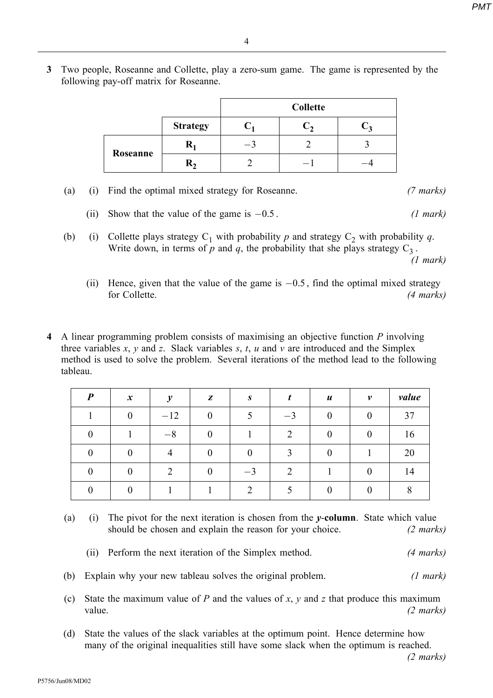3 Two people, Roseanne and Collette, play a zero-sum game. The game is represented by the following pay-off matrix for Roseanne.

|          |                 | <b>Collette</b>          |  |  |  |  |
|----------|-----------------|--------------------------|--|--|--|--|
|          | <b>Strategy</b> |                          |  |  |  |  |
| Roseanne |                 | $\overline{\phantom{m}}$ |  |  |  |  |
|          | ĸ,              |                          |  |  |  |  |

|  |  | (a) (i) Find the optimal mixed strategy for Roseanne. | $(7 \text{ marks})$ |
|--|--|-------------------------------------------------------|---------------------|
|--|--|-------------------------------------------------------|---------------------|

- (ii) Show that the value of the game is  $-0.5$ . (1 mark)
- (b) (i) Collette plays strategy  $C_1$  with probability p and strategy  $C_2$  with probability q. Write down, in terms of p and q, the probability that she plays strategy  $C_3$ . (1 mark)
	- (ii) Hence, given that the value of the game is  $-0.5$ , find the optimal mixed strategy for Collette. (4 marks)
- 4 A linear programming problem consists of maximising an objective function P involving three variables  $x$ ,  $y$  and  $z$ . Slack variables  $s$ ,  $t$ ,  $u$  and  $v$  are introduced and the Simplex method is used to solve the problem. Several iterations of the method lead to the following tableau.

| $\boldsymbol{P}$ | $\boldsymbol{x}$ | v     | Z | S    |      | $\boldsymbol{u}$ | v | value |
|------------------|------------------|-------|---|------|------|------------------|---|-------|
|                  |                  | $-12$ |   |      | $-3$ |                  |   | 37    |
|                  |                  | $-8$  |   |      | ↑    |                  |   | 16    |
|                  |                  |       |   |      | ◠    |                  |   | 20    |
|                  |                  |       |   | $-1$ | ◠    |                  |   | 14    |
|                  |                  |       |   |      |      |                  |   |       |

- (a) (i) The pivot for the next iteration is chosen from the  $\nu$ -column. State which value should be chosen and explain the reason for your choice. (2 marks)
	- (ii) Perform the next iteration of the Simplex method. (4 marks)
- (b) Explain why your new tableau solves the original problem. (1 mark)
- (c) State the maximum value of P and the values of x, y and z that produce this maximum value. (2 marks)
- (d) State the values of the slack variables at the optimum point. Hence determine how many of the original inequalities still have some slack when the optimum is reached.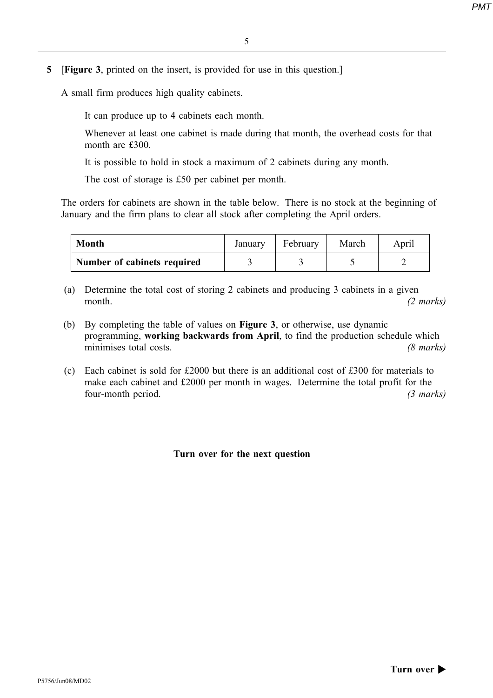5 [Figure 3, printed on the insert, is provided for use in this question.]

A small firm produces high quality cabinets.

It can produce up to 4 cabinets each month.

Whenever at least one cabinet is made during that month, the overhead costs for that month are £300.

It is possible to hold in stock a maximum of 2 cabinets during any month.

The cost of storage is £50 per cabinet per month.

The orders for cabinets are shown in the table below. There is no stock at the beginning of January and the firm plans to clear all stock after completing the April orders.

| <b>Month</b>                | January | February | March | Aprıl |
|-----------------------------|---------|----------|-------|-------|
| Number of cabinets required |         |          |       |       |

(a) Determine the total cost of storing 2 cabinets and producing 3 cabinets in a given month. (2 marks)

- (b) By completing the table of values on Figure 3, or otherwise, use dynamic programming, working backwards from April, to find the production schedule which minimises total costs. (8 marks)
- (c) Each cabinet is sold for £2000 but there is an additional cost of £300 for materials to make each cabinet and £2000 per month in wages. Determine the total profit for the four-month period. (3 marks)

## Turn over for the next question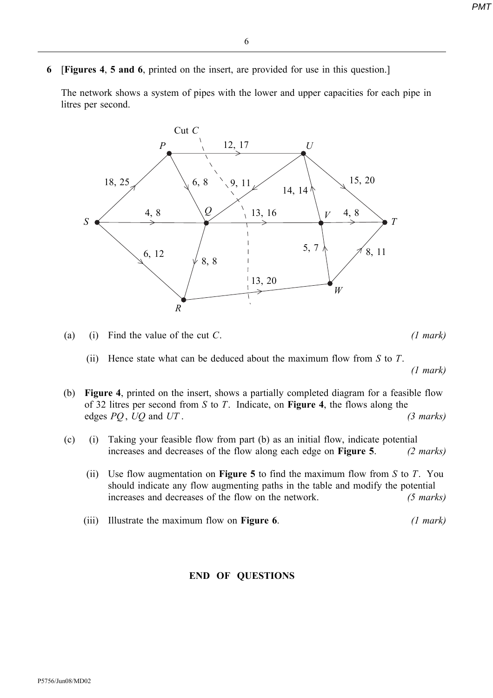6 [Figures 4, 5 and 6, printed on the insert, are provided for use in this question.]

The network shows a system of pipes with the lower and upper capacities for each pipe in litres per second.



- (a) (i) Find the value of the cut C.  $(1 \text{ mark})$ 
	- (ii) Hence state what can be deduced about the maximum flow from  $S$  to  $T$ .

(1 mark)

- (b) Figure 4, printed on the insert, shows a partially completed diagram for a feasible flow of 32 litres per second from S to T. Indicate, on **Figure 4**, the flows along the edges  $PQ$ ,  $UQ$  and  $UT$ . (3 marks)
- (c) (i) Taking your feasible flow from part (b) as an initial flow, indicate potential increases and decreases of the flow along each edge on **Figure 5**. (2 marks)
	- (ii) Use flow augmentation on **Figure 5** to find the maximum flow from S to T. You should indicate any flow augmenting paths in the table and modify the potential increases and decreases of the flow on the network. (5 marks)
	- (iii) Illustrate the maximum flow on **Figure 6.**  $(1 mark)$

## END OF QUESTIONS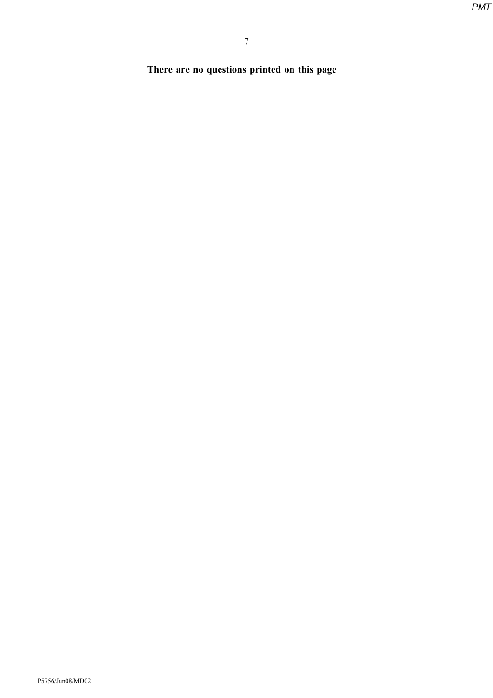There are no questions printed on this page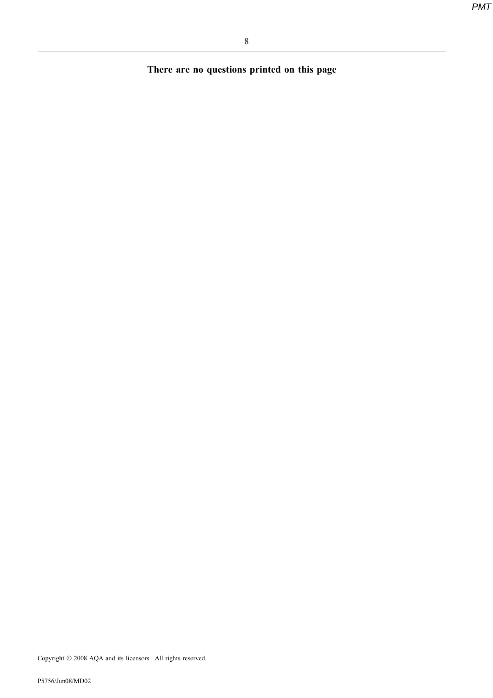There are no questions printed on this page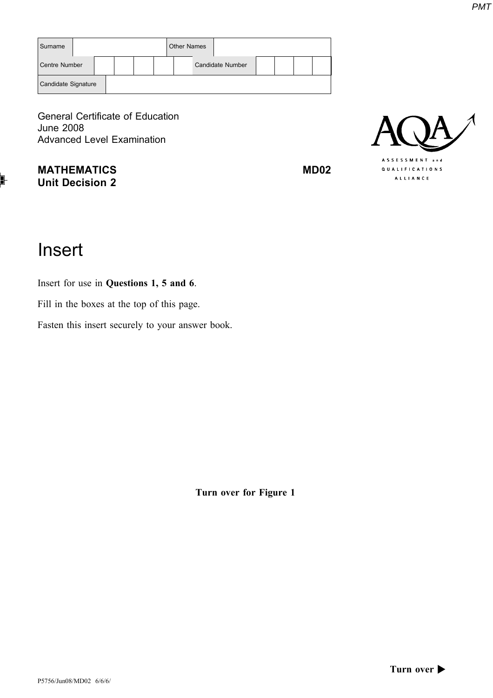| Surname             |  |  |  |  | <b>Other Names</b> |                  |  |  |
|---------------------|--|--|--|--|--------------------|------------------|--|--|
| Centre Number       |  |  |  |  |                    | Candidate Number |  |  |
| Candidate Signature |  |  |  |  |                    |                  |  |  |

General Certificate of Education June 2008 Advanced Level Examination

MATHEMATICS MD02 Unit Decision 2



# Insert

Insert for use in Questions 1, 5 and 6.

Fill in the boxes at the top of this page.

Fasten this insert securely to your answer book.

Turn over for Figure 1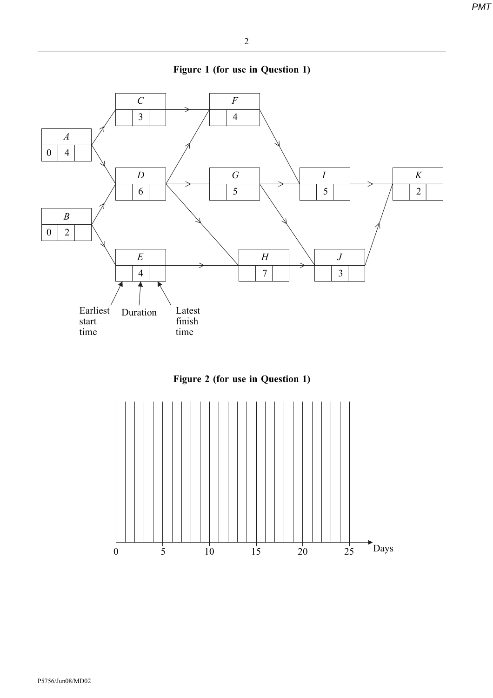





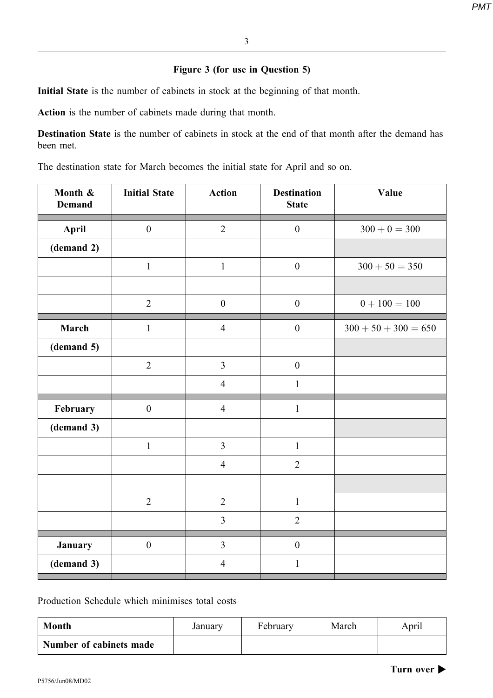## Figure 3 (for use in Question 5)

Initial State is the number of cabinets in stock at the beginning of that month.

Action is the number of cabinets made during that month.

Destination State is the number of cabinets in stock at the end of that month after the demand has been met.

The destination state for March becomes the initial state for April and so on.

| Month &<br><b>Demand</b> | <b>Initial State</b> | <b>Action</b>    | <b>Destination</b><br><b>State</b> | Value                  |
|--------------------------|----------------------|------------------|------------------------------------|------------------------|
| April                    | $\boldsymbol{0}$     | $\sqrt{2}$       | $\boldsymbol{0}$                   | $300 + 0 = 300$        |
| (demand 2)               |                      |                  |                                    |                        |
|                          | $\mathbf 1$          | $\,1$            | $\boldsymbol{0}$                   | $300 + 50 = 350$       |
|                          |                      |                  |                                    |                        |
|                          | $\overline{2}$       | $\boldsymbol{0}$ | $\boldsymbol{0}$                   | $0 + 100 = 100$        |
| March                    | $\mathbf{1}$         | $\overline{4}$   | $\boldsymbol{0}$                   | $300 + 50 + 300 = 650$ |
| (demand 5)               |                      |                  |                                    |                        |
|                          | $\sqrt{2}$           | $\overline{3}$   | $\boldsymbol{0}$                   |                        |
|                          |                      | $\overline{4}$   | $\mathbf{1}$                       |                        |
| February                 | $\boldsymbol{0}$     | $\overline{4}$   | $\mathbf 1$                        |                        |
| (demand 3)               |                      |                  |                                    |                        |
|                          | $\mathbf{1}$         | $\overline{3}$   | $\mathbf{1}$                       |                        |
|                          |                      | $\overline{4}$   | $\overline{2}$                     |                        |
|                          |                      |                  |                                    |                        |
|                          | $\sqrt{2}$           | $\overline{2}$   | $\mathbf{1}$                       |                        |
|                          |                      | $\overline{3}$   | $\overline{2}$                     |                        |
| January                  | $\boldsymbol{0}$     | $\overline{3}$   | $\boldsymbol{0}$                   |                        |
| (demand 3)               |                      | $\overline{4}$   | $\,1\,$                            |                        |

Production Schedule which minimises total costs

| <b>Month</b>            | January | February | March | April |
|-------------------------|---------|----------|-------|-------|
| Number of cabinets made |         |          |       |       |

Turn over  $\blacktriangleright$